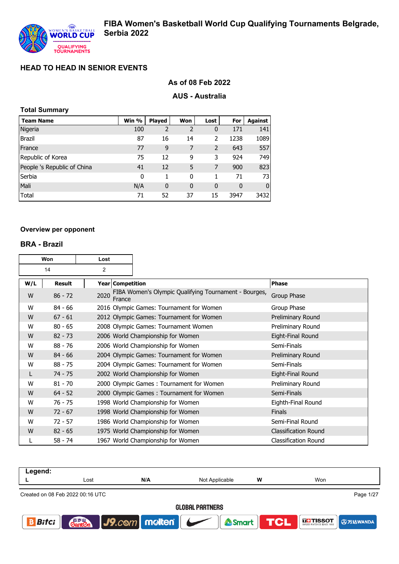## **As of 08 Feb 2022**

#### **AUS - Australia**

| <b>Total Summary</b>        |       |                |             |      |          |                |
|-----------------------------|-------|----------------|-------------|------|----------|----------------|
| <b>Team Name</b>            | Win % | <b>Played</b>  | Won         | Lost | For      | <b>Against</b> |
| Nigeria                     | 100   | $\overline{2}$ | 2           | 0    | 171      | 141            |
| <b>Brazil</b>               | 87    | 16             | 14          | 2    | 1238     | 1089           |
| France                      | 77    | 9              | 7           | 2    | 643      | 557            |
| Republic of Korea           | 75    | 12             | 9           | 3    | 924      | 749            |
| People 's Republic of China | 41    | 12             | 5           | 7    | 900      | 823            |
| Serbia                      | 0     | 1              | 0           | 1    | 71       | 73             |
| Mali                        | N/A   | 0              | $\mathbf 0$ | 0    | $\bf{0}$ | 0              |
| <b>Total</b>                | 71    | 52             | 37          | 15   | 3947     | 3432           |

#### **Overview per opponent**

#### **BRA - Brazil**

| Won<br>Lost |               |      |                  |                                                       |                             |
|-------------|---------------|------|------------------|-------------------------------------------------------|-----------------------------|
|             | 2<br>14       |      |                  |                                                       |                             |
| W/L         | <b>Result</b> |      | Year Competition |                                                       | <b>Phase</b>                |
| W           | $86 - 72$     | 2020 | France           | FIBA Women's Olympic Qualifying Tournament - Bourges, | Group Phase                 |
| W           | $84 - 66$     |      |                  | 2016 Olympic Games: Tournament for Women              | Group Phase                 |
| W           | $67 - 61$     |      |                  | 2012 Olympic Games: Tournament for Women              | Preliminary Round           |
| W           | $80 - 65$     |      |                  | 2008 Olympic Games: Tournament Women                  | Preliminary Round           |
| W           | $82 - 73$     |      |                  | 2006 World Championship for Women                     | Eight-Final Round           |
| W           | $88 - 76$     |      |                  | 2006 World Championship for Women                     | Semi-Finals                 |
| W           | $84 - 66$     |      |                  | 2004 Olympic Games: Tournament for Women              | Preliminary Round           |
| W           | $88 - 75$     |      |                  | 2004 Olympic Games: Tournament for Women              | Semi-Finals                 |
| L           | $74 - 75$     |      |                  | 2002 World Championship for Women                     | Eight-Final Round           |
| W           | $81 - 70$     |      |                  | 2000 Olympic Games: Tournament for Women              | Preliminary Round           |
| W           | $64 - 52$     |      |                  | 2000 Olympic Games: Tournament for Women              | Semi-Finals                 |
| W           | 76 - 75       |      |                  | 1998 World Championship for Women                     | Eighth-Final Round          |
| W           | $72 - 67$     |      |                  | 1998 World Championship for Women                     | <b>Finals</b>               |
| W           | $72 - 57$     |      |                  | 1986 World Championship for Women                     | Semi-Final Round            |
| W           | $82 - 65$     |      |                  | 1975 World Championship for Women                     | <b>Classification Round</b> |
|             | $58 - 74$     |      |                  | 1967 World Championship for Women                     | <b>Classification Round</b> |

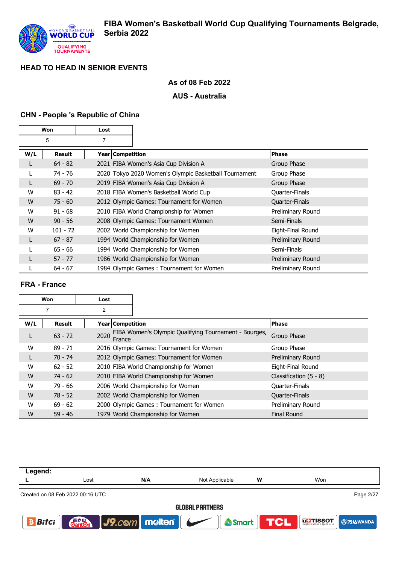

## **As of 08 Feb 2022**

## **AUS - Australia**

## **CHN - People 's Republic of China**

| Won |            | Lost               |                                                       |                   |
|-----|------------|--------------------|-------------------------------------------------------|-------------------|
|     | 5          | 7                  |                                                       |                   |
| W/L | Result     | Year   Competition |                                                       | <b>Phase</b>      |
|     | $64 - 82$  |                    | 2021 FIBA Women's Asia Cup Division A                 | Group Phase       |
|     | 74 - 76    |                    | 2020 Tokyo 2020 Women's Olympic Basketball Tournament | Group Phase       |
| L   | $69 - 70$  |                    | 2019 FIBA Women's Asia Cup Division A                 | Group Phase       |
| W   | $83 - 42$  |                    | 2018 FIBA Women's Basketball World Cup                | Quarter-Finals    |
| W   | $75 - 60$  |                    | 2012 Olympic Games: Tournament for Women              | Quarter-Finals    |
| W   | $91 - 68$  |                    | 2010 FIBA World Championship for Women                | Preliminary Round |
| W   | $90 - 56$  |                    | 2008 Olympic Games: Tournament Women                  | Semi-Finals       |
| W   | $101 - 72$ |                    | 2002 World Championship for Women                     | Eight-Final Round |
|     | $67 - 87$  |                    | 1994 World Championship for Women                     | Preliminary Round |
|     | $65 - 66$  |                    | 1994 World Championship for Women                     | Semi-Finals       |
|     | $57 - 77$  |                    | 1986 World Championship for Women                     | Preliminary Round |
|     | $64 - 67$  |                    | 1984 Olympic Games: Tournament for Women              | Preliminary Round |

## **FRA - France**

|     | Won<br>Lost    |                    |                                                       |                          |
|-----|----------------|--------------------|-------------------------------------------------------|--------------------------|
|     | $\overline{2}$ |                    |                                                       |                          |
| W/L | Result         | Year   Competition |                                                       | <b>Phase</b>             |
| L   | $63 - 72$      | 2020<br>France     | FIBA Women's Olympic Qualifying Tournament - Bourges, | Group Phase              |
| W   | $89 - 71$      |                    | 2016 Olympic Games: Tournament for Women              | Group Phase              |
| L   | $70 - 74$      |                    | 2012 Olympic Games: Tournament for Women              | Preliminary Round        |
| W   | $62 - 52$      |                    | 2010 FIBA World Championship for Women                | Eight-Final Round        |
| W   | $74 - 62$      |                    | 2010 FIBA World Championship for Women                | Classification $(5 - 8)$ |
| W   | $79 - 66$      |                    | 2006 World Championship for Women                     | <b>Quarter-Finals</b>    |
| W   | $78 - 52$      |                    | 2002 World Championship for Women                     | <b>Quarter-Finals</b>    |
| W   | $69 - 62$      |                    | 2000 Olympic Games: Tournament for Women              | Preliminary Round        |
| W   | $59 - 46$      |                    | 1979 World Championship for Women                     | <b>Final Round</b>       |

| Lost                             | N/A | Not Applicable | w                           | Won                                                |  |  |
|----------------------------------|-----|----------------|-----------------------------|----------------------------------------------------|--|--|
| Created on 08 Feb 2022 00:16 UTC |     |                |                             | Page 2/27                                          |  |  |
| <b>GLOBAL PARTNERS</b>           |     |                |                             |                                                    |  |  |
|                                  |     |                |                             | Smart <b>TCL</b> External <b>O</b> Fig. 10 A Smart |  |  |
|                                  |     |                | <b>Ganton</b> J9.com molten |                                                    |  |  |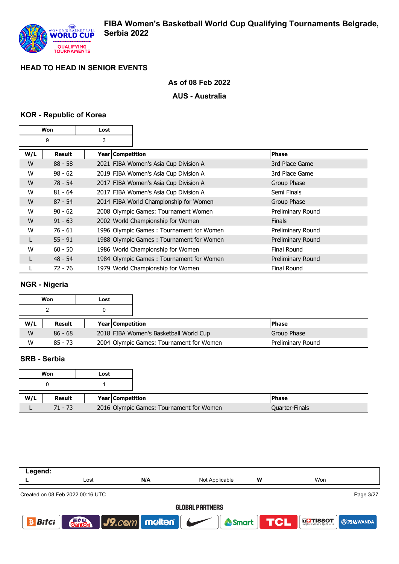

## **As of 08 Feb 2022**

## **AUS - Australia**

## **KOR - Republic of Korea**

| Won<br>Lost |           |                    |                                          |                    |
|-------------|-----------|--------------------|------------------------------------------|--------------------|
|             | 9         | 3                  |                                          |                    |
| W/L         | Result    | Year   Competition |                                          | Phase              |
| W           | $88 - 58$ |                    | 2021 FIBA Women's Asia Cup Division A    | 3rd Place Game     |
| W           | $98 - 62$ |                    | 2019 FIBA Women's Asia Cup Division A    | 3rd Place Game     |
| W           | $78 - 54$ |                    | 2017 FIBA Women's Asia Cup Division A    | Group Phase        |
| W           | $81 - 64$ |                    | 2017 FIBA Women's Asia Cup Division A    | Semi Finals        |
| W           | $87 - 54$ |                    | 2014 FIBA World Championship for Women   | Group Phase        |
| W           | $90 - 62$ |                    | 2008 Olympic Games: Tournament Women     | Preliminary Round  |
| W           | $91 - 63$ |                    | 2002 World Championship for Women        | <b>Finals</b>      |
| W           | $76 - 61$ |                    | 1996 Olympic Games: Tournament for Women | Preliminary Round  |
| L           | $55 - 91$ |                    | 1988 Olympic Games: Tournament for Women | Preliminary Round  |
| W           | $60 - 50$ |                    | 1986 World Championship for Women        | Final Round        |
| L           | $48 - 54$ |                    | 1984 Olympic Games: Tournament for Women | Preliminary Round  |
|             | 72 - 76   |                    | 1979 World Championship for Women        | <b>Final Round</b> |

# **NGR - Nigeria**

|     | Won       | Lost |                         |                                          |                   |
|-----|-----------|------|-------------------------|------------------------------------------|-------------------|
|     |           |      |                         |                                          |                   |
| W/L | Result    |      | <b>Year Competition</b> |                                          | <b>Phase</b>      |
| W   | $86 - 68$ |      |                         | 2018 FIBA Women's Basketball World Cup   | Group Phase       |
| W   | $85 - 73$ |      |                         | 2004 Olympic Games: Tournament for Women | Preliminary Round |

## **SRB - Serbia**

|     | Won           | Lost |                         |                                          |                       |
|-----|---------------|------|-------------------------|------------------------------------------|-----------------------|
|     |               |      |                         |                                          |                       |
| W/L | <b>Result</b> |      | <b>Year Competition</b> |                                          | <b>Phase</b>          |
|     | $71 - 73$     |      |                         | 2016 Olympic Games: Tournament for Women | <b>Quarter-Finals</b> |

| Lost                             | N/A | W<br>Not Applicable |                                     | Won                                         |  |  |
|----------------------------------|-----|---------------------|-------------------------------------|---------------------------------------------|--|--|
| Created on 08 Feb 2022 00:16 UTC |     |                     |                                     | Page 3/27                                   |  |  |
| <b>GLOBAL PARTNERS</b>           |     |                     |                                     |                                             |  |  |
|                                  |     |                     |                                     | Smart <b>TCL</b> ETISSOT <b>TAN A SMART</b> |  |  |
|                                  |     |                     | <b>Carles J9.com molten Company</b> |                                             |  |  |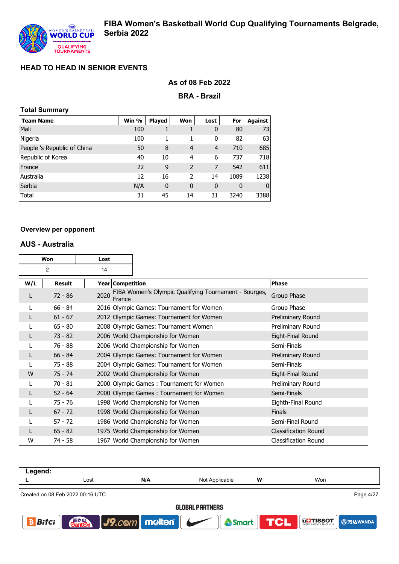### **As of 08 Feb 2022**

**BRA - Brazil**

| <b>Total Summary</b> |  |
|----------------------|--|
|----------------------|--|

| <b>Team Name</b>            | Win % | <b>Played</b> | Won                      | Lost | For  | Against        |
|-----------------------------|-------|---------------|--------------------------|------|------|----------------|
| Mali                        | 100   |               |                          | 0    | 80   | 73             |
| Nigeria                     | 100   |               | 1                        | 0    | 82   | 63             |
| People 's Republic of China | 50    | 8             | 4                        | 4    | 710  | 685            |
| Republic of Korea           | 40    | 10            | 4                        | 6    | 737  | 718            |
| France                      | 22    | 9             | $\overline{\phantom{0}}$ | 7    | 542  | 611            |
| Australia                   | 12    | 16            | $\overline{\phantom{a}}$ | 14   | 1089 | 1238           |
| Serbia                      | N/A   | $\mathbf 0$   | $\mathbf 0$              | 0    | 0    | $\overline{0}$ |
| Total                       | 31    | 45            | 14                       | 31   | 3240 | 3388           |

#### **Overview per opponent**

#### **AUS - Australia**

|     | Won<br>Lost          |      |                  |                                                       |                             |
|-----|----------------------|------|------------------|-------------------------------------------------------|-----------------------------|
|     | $\overline{2}$<br>14 |      |                  |                                                       |                             |
| W/L | <b>Result</b>        |      | Year Competition |                                                       | <b>Phase</b>                |
|     | $72 - 86$            | 2020 | France           | FIBA Women's Olympic Qualifying Tournament - Bourges, | Group Phase                 |
|     | $66 - 84$            |      |                  | 2016 Olympic Games: Tournament for Women              | Group Phase                 |
|     | $61 - 67$            |      |                  | 2012 Olympic Games: Tournament for Women              | Preliminary Round           |
|     | $65 - 80$            |      |                  | 2008 Olympic Games: Tournament Women                  | Preliminary Round           |
|     | $73 - 82$            |      |                  | 2006 World Championship for Women                     | Eight-Final Round           |
|     | 76 - 88              |      |                  | 2006 World Championship for Women                     | Semi-Finals                 |
|     | $66 - 84$            |      |                  | 2004 Olympic Games: Tournament for Women              | Preliminary Round           |
|     | 75 - 88              |      |                  | 2004 Olympic Games: Tournament for Women              | Semi-Finals                 |
| W   | $75 - 74$            |      |                  | 2002 World Championship for Women                     | Eight-Final Round           |
|     | $70 - 81$            |      |                  | 2000 Olympic Games: Tournament for Women              | Preliminary Round           |
|     | $52 - 64$            |      |                  | 2000 Olympic Games: Tournament for Women              | Semi-Finals                 |
|     | 75 - 76              |      |                  | 1998 World Championship for Women                     | Eighth-Final Round          |
|     | $67 - 72$            |      |                  | 1998 World Championship for Women                     | <b>Finals</b>               |
|     | $57 - 72$            |      |                  | 1986 World Championship for Women                     | Semi-Final Round            |
|     | $65 - 82$            |      |                  | 1975 World Championship for Women                     | <b>Classification Round</b> |
| W   | 74 - 58              |      |                  | 1967 World Championship for Women                     | <b>Classification Round</b> |

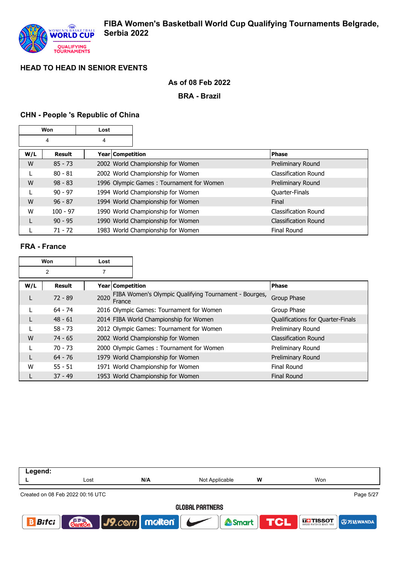

## **As of 08 Feb 2022**

**BRA - Brazil**

## **CHN - People 's Republic of China**

|     | Won        | Lost               |                                          |                             |
|-----|------------|--------------------|------------------------------------------|-----------------------------|
|     | 4          | 4                  |                                          |                             |
| W/L | Result     | Year   Competition |                                          | <b>Phase</b>                |
| W   | $85 - 73$  |                    | 2002 World Championship for Women        | Preliminary Round           |
|     | $80 - 81$  |                    | 2002 World Championship for Women        | Classification Round        |
| W   | $98 - 83$  |                    | 1996 Olympic Games: Tournament for Women | Preliminary Round           |
|     | $90 - 97$  |                    | 1994 World Championship for Women        | Quarter-Finals              |
| W   | $96 - 87$  |                    | 1994 World Championship for Women        | Final                       |
| W   | $100 - 97$ |                    | 1990 World Championship for Women        | Classification Round        |
| L   | $90 - 95$  |                    | 1990 World Championship for Women        | <b>Classification Round</b> |
|     | $71 - 72$  |                    | 1983 World Championship for Women        | Final Round                 |

## **FRA - France**

| Won<br>Lost |               |      |                                          |                                                       |                                   |
|-------------|---------------|------|------------------------------------------|-------------------------------------------------------|-----------------------------------|
|             | 2             | 7    |                                          |                                                       |                                   |
| W/L         | <b>Result</b> |      | Year Competition                         |                                                       | <b>Phase</b>                      |
| L           | $72 - 89$     | 2020 | France                                   | FIBA Women's Olympic Qualifying Tournament - Bourges, | Group Phase                       |
|             | $64 - 74$     |      |                                          | 2016 Olympic Games: Tournament for Women              | Group Phase                       |
| L           | $48 - 61$     |      |                                          | 2014 FIBA World Championship for Women                | Qualifications for Quarter-Finals |
|             | $58 - 73$     |      | 2012 Olympic Games: Tournament for Women |                                                       | Preliminary Round                 |
| W           | $74 - 65$     |      |                                          | 2002 World Championship for Women                     | <b>Classification Round</b>       |
|             | $70 - 73$     |      |                                          | 2000 Olympic Games: Tournament for Women              | Preliminary Round                 |
| L           | $64 - 76$     |      |                                          | 1979 World Championship for Women                     | Preliminary Round                 |
| W           | $55 - 51$     |      |                                          | 1971 World Championship for Women                     | Final Round                       |
|             | $37 - 49$     |      |                                          | 1953 World Championship for Women                     | <b>Final Round</b>                |

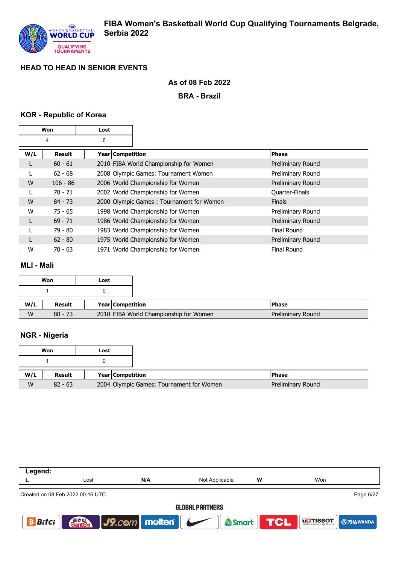

## **As of 08 Feb 2022**

**BRA - Brazil**

## **KOR - Republic of Korea**

|     | Won        | Lost               |                                          |                    |
|-----|------------|--------------------|------------------------------------------|--------------------|
|     | 4          | 6                  |                                          |                    |
| W/L | Result     | Year   Competition |                                          | <b>Phase</b>       |
| L   | $60 - 61$  |                    | 2010 FIBA World Championship for Women   | Preliminary Round  |
|     | $62 - 68$  |                    | 2008 Olympic Games: Tournament Women     | Preliminary Round  |
| W   | $106 - 86$ |                    | 2006 World Championship for Women        | Preliminary Round  |
|     | $70 - 71$  |                    | 2002 World Championship for Women        | Quarter-Finals     |
| W   | $84 - 73$  |                    | 2000 Olympic Games: Tournament for Women | <b>Finals</b>      |
| W   | $75 - 65$  |                    | 1998 World Championship for Women        | Preliminary Round  |
| L   | $69 - 71$  |                    | 1986 World Championship for Women        | Preliminary Round  |
|     | $79 - 80$  |                    | 1983 World Championship for Women        | <b>Final Round</b> |
| L   | $62 - 80$  |                    | 1975 World Championship for Women        | Preliminary Round  |
| W   | $70 - 63$  |                    | 1971 World Championship for Women        | <b>Final Round</b> |

#### **MLI - Mali**

|     | Won       | Lost                                   |
|-----|-----------|----------------------------------------|
|     |           |                                        |
| W/L | Result    | <b>Year Competition</b>                |
| W   | $80 - 73$ | 2010 FIBA World Championship for Women |

## **NGR - Nigeria**

|     | Won       | Lost                    |                                          |
|-----|-----------|-------------------------|------------------------------------------|
|     |           |                         |                                          |
| W/L | Result    | <b>Year Competition</b> |                                          |
| W   | $82 - 63$ |                         | 2004 Olympic Games: Tournament for Women |

| Page 6/27                          |  |  |  |  |  |
|------------------------------------|--|--|--|--|--|
| <b>GLOBAL PARTNERS</b>             |  |  |  |  |  |
| Smart <b>TCL</b> External Original |  |  |  |  |  |
|                                    |  |  |  |  |  |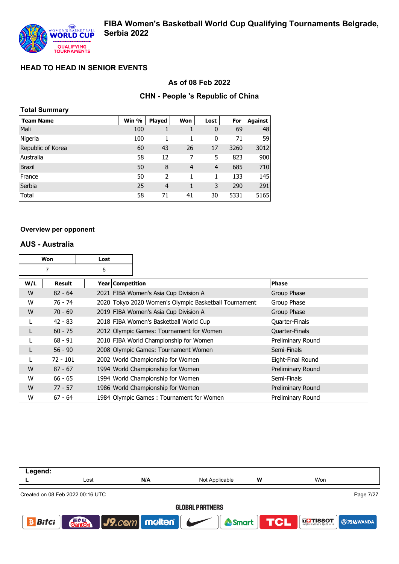### **As of 08 Feb 2022**

## **CHN - People 's Republic of China**

| <b>Total Summary</b> |       |               |                |      |      |         |
|----------------------|-------|---------------|----------------|------|------|---------|
| <b>Team Name</b>     | Win % | <b>Played</b> | Won            | Lost | For  | Against |
| Mali                 | 100   |               |                | 0    | 69   | 48      |
| Nigeria              | 100   | 1             | 1              | 0    | 71   | 59      |
| Republic of Korea    | 60    | 43            | 26             | 17   | 3260 | 3012    |
| Australia            | 58    | 12            | 7              | 5    | 823  | 900     |
| <b>Brazil</b>        | 50    | 8             | $\overline{4}$ | 4    | 685  | 710     |
| France               | 50    | 2             | 1              | 1    | 133  | 145     |
| Serbia               | 25    | 4             | 1              | 3    | 290  | 291     |
| Total                | 58    | 71            | 41             | 30   | 5331 | 5165    |

#### **Overview per opponent**

#### **AUS - Australia**

| Won<br>Lost |               |                    |                                                       |                       |
|-------------|---------------|--------------------|-------------------------------------------------------|-----------------------|
|             | 7             | 5                  |                                                       |                       |
| W/L         | <b>Result</b> | Year   Competition |                                                       | <b>Phase</b>          |
| W           | $82 - 64$     |                    | 2021 FIBA Women's Asia Cup Division A                 | Group Phase           |
| W           | 76 - 74       |                    | 2020 Tokyo 2020 Women's Olympic Basketball Tournament | Group Phase           |
| W           | $70 - 69$     |                    | 2019 FIBA Women's Asia Cup Division A                 | Group Phase           |
|             | $42 - 83$     |                    | 2018 FIBA Women's Basketball World Cup                | Quarter-Finals        |
|             | $60 - 75$     |                    | 2012 Olympic Games: Tournament for Women              | <b>Quarter-Finals</b> |
|             | $68 - 91$     |                    | 2010 FIBA World Championship for Women                | Preliminary Round     |
|             | $56 - 90$     |                    | 2008 Olympic Games: Tournament Women                  | Semi-Finals           |
|             | $72 - 101$    |                    | 2002 World Championship for Women                     | Eight-Final Round     |
| W           | $87 - 67$     |                    | 1994 World Championship for Women                     | Preliminary Round     |
| W           | $66 - 65$     |                    | 1994 World Championship for Women                     | Semi-Finals           |
| W           | $77 - 57$     |                    | 1986 World Championship for Women                     | Preliminary Round     |
| W           | $67 - 64$     |                    | 1984 Olympic Games: Tournament for Women              | Preliminary Round     |

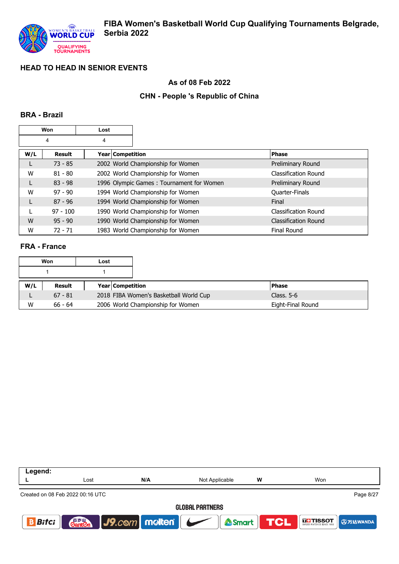

### **As of 08 Feb 2022**

## **CHN - People 's Republic of China**

### **BRA - Brazil**

|     | Won        | Lost |                  |                                          |                             |
|-----|------------|------|------------------|------------------------------------------|-----------------------------|
|     | 4          | 4    |                  |                                          |                             |
| W/L | Result     |      | Year Competition |                                          | <b>Phase</b>                |
|     | $73 - 85$  |      |                  | 2002 World Championship for Women        | Preliminary Round           |
| W   | $81 - 80$  |      |                  | 2002 World Championship for Women        | <b>Classification Round</b> |
| L   | $83 - 98$  |      |                  | 1996 Olympic Games: Tournament for Women | Preliminary Round           |
| W   | $97 - 90$  |      |                  | 1994 World Championship for Women        | Quarter-Finals              |
| L   | $87 - 96$  |      |                  | 1994 World Championship for Women        | Final                       |
|     | $97 - 100$ |      |                  | 1990 World Championship for Women        | Classification Round        |
| W   | $95 - 90$  |      |                  | 1990 World Championship for Women        | <b>Classification Round</b> |
| W   | $72 - 71$  |      |                  | 1983 World Championship for Women        | <b>Final Round</b>          |

## **FRA - France**

|     | Won       | Lost |                                        |                   |
|-----|-----------|------|----------------------------------------|-------------------|
|     |           |      |                                        |                   |
| W/L | Result    |      | <b>Year Competition</b>                | <b>Phase</b>      |
|     | $67 - 81$ |      | 2018 FIBA Women's Basketball World Cup | Class, $5-6$      |
| W   | $66 - 64$ |      | 2006 World Championship for Women      | Eight-Final Round |

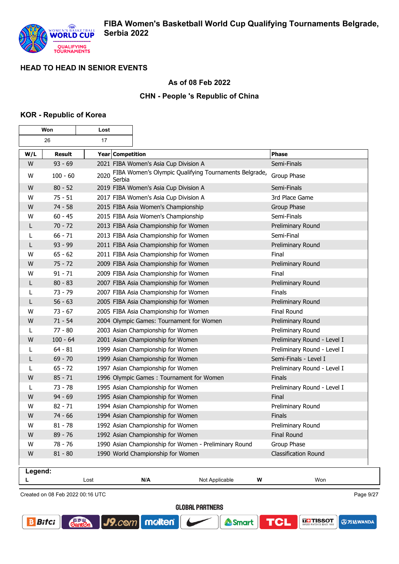$\overline{\phantom{0}}$ 

## **As of 08 Feb 2022**

## **CHN - People 's Republic of China**

### **KOR - Republic of Korea**

 $\mathbf{r}$ 

|         | Won        | Lost             |                                                                      |                                                       |                             |
|---------|------------|------------------|----------------------------------------------------------------------|-------------------------------------------------------|-----------------------------|
|         | 26         | 17               |                                                                      |                                                       |                             |
| W/L     | Result     | Year Competition |                                                                      |                                                       | <b>Phase</b>                |
| W       | $93 - 69$  |                  | 2021 FIBA Women's Asia Cup Division A                                |                                                       | Semi-Finals                 |
| W       | $100 - 60$ | 2020<br>Serbia   |                                                                      | FIBA Women's Olympic Qualifying Tournaments Belgrade, | Group Phase                 |
| W       | $80 - 52$  |                  | 2019 FIBA Women's Asia Cup Division A                                |                                                       | Semi-Finals                 |
| W       | $75 - 51$  |                  | 2017 FIBA Women's Asia Cup Division A                                |                                                       | 3rd Place Game              |
| W       | $74 - 58$  |                  | 2015 FIBA Asia Women's Championship                                  |                                                       | Group Phase                 |
| W       | $60 - 45$  |                  | 2015 FIBA Asia Women's Championship                                  |                                                       | Semi-Finals                 |
| L       | $70 - 72$  |                  | 2013 FIBA Asia Championship for Women                                |                                                       | Preliminary Round           |
| L       | $66 - 71$  |                  | 2013 FIBA Asia Championship for Women                                |                                                       | Semi-Final                  |
| L       | $93 - 99$  |                  | 2011 FIBA Asia Championship for Women                                |                                                       | Preliminary Round           |
| W       | $65 - 62$  |                  | 2011 FIBA Asia Championship for Women                                |                                                       | Final                       |
| W       | $75 - 72$  |                  | 2009 FIBA Asia Championship for Women                                |                                                       | Preliminary Round           |
| W       | $91 - 71$  |                  | 2009 FIBA Asia Championship for Women                                |                                                       | Final                       |
| L       | $80 - 83$  |                  | 2007 FIBA Asia Championship for Women                                |                                                       | Preliminary Round           |
| L       | $73 - 79$  |                  | 2007 FIBA Asia Championship for Women                                |                                                       | Finals                      |
| L       | $56 - 63$  |                  | 2005 FIBA Asia Championship for Women                                |                                                       | Preliminary Round           |
| W       | $73 - 67$  |                  | 2005 FIBA Asia Championship for Women                                |                                                       | Final Round                 |
| W       | $71 - 54$  |                  |                                                                      | 2004 Olympic Games: Tournament for Women              | Preliminary Round           |
| L       | $77 - 80$  |                  | 2003 Asian Championship for Women                                    |                                                       | Preliminary Round           |
| W       | $100 - 64$ |                  | 2001 Asian Championship for Women                                    |                                                       | Preliminary Round - Level I |
| L       | $64 - 81$  |                  | 1999 Asian Championship for Women                                    |                                                       | Preliminary Round - Level I |
| L       | $69 - 70$  |                  | 1999 Asian Championship for Women                                    |                                                       | Semi-Finals - Level I       |
| L       | $65 - 72$  |                  | 1997 Asian Championship for Women                                    |                                                       | Preliminary Round - Level I |
| W       | $85 - 71$  |                  |                                                                      | 1996 Olympic Games: Tournament for Women              | <b>Finals</b>               |
| L       | $73 - 78$  |                  | 1995 Asian Championship for Women                                    |                                                       | Preliminary Round - Level I |
| W       | $94 - 69$  |                  | 1995 Asian Championship for Women                                    |                                                       | Final                       |
| W       | $82 - 71$  |                  | 1994 Asian Championship for Women                                    |                                                       | Preliminary Round           |
| W       | $74 - 66$  |                  | 1994 Asian Championship for Women                                    |                                                       | <b>Finals</b>               |
| W       | $81 - 78$  |                  | 1992 Asian Championship for Women                                    |                                                       | Preliminary Round           |
| W       | $89 - 76$  |                  | 1992 Asian Championship for Women<br><b>Final Round</b>              |                                                       |                             |
| W       | $78 - 76$  |                  | 1990 Asian Championship for Women - Preliminary Round<br>Group Phase |                                                       |                             |
| W       | $81 - 80$  |                  | 1990 World Championship for Women                                    |                                                       | Classification Round        |
| Legend: |            |                  |                                                                      |                                                       |                             |
| L       |            | Lost             | N/A                                                                  | Not Applicable                                        | W<br>Won                    |

Created on 08 Feb 2022 00:16 UTC

**Cant2** 

**GLOBAL PARTNERS** 

Smart

molten®

 $J9$ . $com$ 

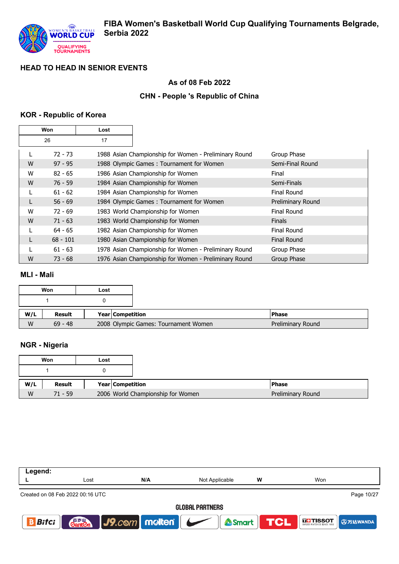

# **As of 08 Feb 2022**

## **CHN - People 's Republic of China**

## **KOR - Republic of Korea**

| Won |            | Lost |                                                       |                    |
|-----|------------|------|-------------------------------------------------------|--------------------|
|     | 26         | 17   |                                                       |                    |
|     | 72 - 73    |      | 1988 Asian Championship for Women - Preliminary Round | Group Phase        |
| W   | $97 - 95$  |      | 1988 Olympic Games: Tournament for Women              | Semi-Final Round   |
| W   | $82 - 65$  |      | 1986 Asian Championship for Women                     | Final              |
| W   | $76 - 59$  |      | 1984 Asian Championship for Women                     | Semi-Finals        |
| L   | $61 - 62$  |      | 1984 Asian Championship for Women                     | Final Round        |
| L   | $56 - 69$  |      | 1984 Olympic Games: Tournament for Women              | Preliminary Round  |
| W   | $72 - 69$  |      | 1983 World Championship for Women                     | Final Round        |
| W   | $71 - 63$  |      | 1983 World Championship for Women                     | <b>Finals</b>      |
|     | $64 - 65$  |      | 1982 Asian Championship for Women                     | Final Round        |
| L   | $68 - 101$ |      | 1980 Asian Championship for Women                     | <b>Final Round</b> |
|     | $61 - 63$  |      | 1978 Asian Championship for Women - Preliminary Round | Group Phase        |
| W   | $73 - 68$  |      | 1976 Asian Championship for Women - Preliminary Round | Group Phase        |

### **MLI - Mali**

|     | Won       | Lost |                                      |                   |
|-----|-----------|------|--------------------------------------|-------------------|
|     |           |      |                                      |                   |
| W/L | Result    |      | Year Competition                     | l Phase           |
| W   | $69 - 48$ |      | 2008 Olympic Games: Tournament Women | Preliminary Round |

# **NGR - Nigeria**

|     | Won       | Lost |                    |                                   |                   |
|-----|-----------|------|--------------------|-----------------------------------|-------------------|
|     |           |      |                    |                                   |                   |
| W/L | Result    |      | Year   Competition |                                   | <b>Phase</b>      |
| W   | $71 - 59$ |      |                    | 2006 World Championship for Women | Preliminary Round |

| Lost                   | N/A                              | Not Applicable | w | Won                                     |  |  |
|------------------------|----------------------------------|----------------|---|-----------------------------------------|--|--|
|                        |                                  |                |   | Page 10/27                              |  |  |
| <b>GLOBAL PARTNERS</b> |                                  |                |   |                                         |  |  |
|                        |                                  |                |   | <b>THISSOT 9万达WANDA</b>                 |  |  |
|                        | Created on 08 Feb 2022 00:16 UTC |                |   | <b>Canten J9.com molten   Smart TCL</b> |  |  |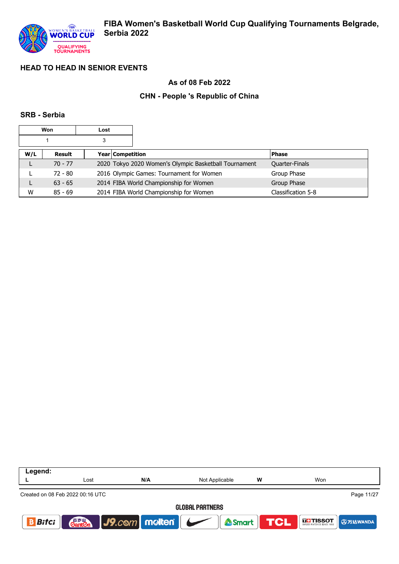

## **As of 08 Feb 2022**

## **CHN - People 's Republic of China**

#### **SRB - Serbia**

| Won |           | Lost |                                        |                                                       |                    |
|-----|-----------|------|----------------------------------------|-------------------------------------------------------|--------------------|
|     |           | 3    |                                        |                                                       |                    |
| W/L | Result    |      | Year Competition                       |                                                       | <b>Phase</b>       |
| ┗   | $70 - 77$ |      |                                        | 2020 Tokyo 2020 Women's Olympic Basketball Tournament | Quarter-Finals     |
|     | $72 - 80$ |      |                                        | 2016 Olympic Games: Tournament for Women              | Group Phase        |
| ┗   | $63 - 65$ |      | 2014 FIBA World Championship for Women |                                                       | Group Phase        |
| W   | $85 - 69$ |      |                                        | 2014 FIBA World Championship for Women                | Classification 5-8 |

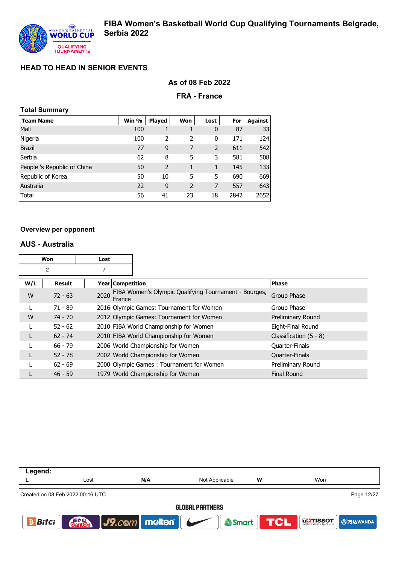### **As of 08 Feb 2022**

#### **FRA - France**

| <b>Total Summary</b> |
|----------------------|
|                      |

| <b>Team Name</b>            | Win % | <b>Played</b> | Won            | Lost | For  | Against |
|-----------------------------|-------|---------------|----------------|------|------|---------|
| Mali                        | 100   |               |                | 0    | 87   | 33      |
| Nigeria                     | 100   | 2             | 2              | 0    | 171  | 124     |
| <b>Brazil</b>               | 77    | 9             | 7              | 2    | 611  | 542     |
| Serbia                      | 62    | 8             | 5              | 3    | 581  | 508     |
| People 's Republic of China | 50    | 2             | 1              | 1    | 145  | 133     |
| Republic of Korea           | 50    | 10            | 5              | 5    | 690  | 669     |
| Australia                   | 22    | 9             | $\overline{2}$ | 7    | 557  | 643     |
| Total                       | 56    | 41            | 23             | 18   | 2842 | 2652    |

#### **Overview per opponent**

#### **AUS - Australia**

| Won<br>Lost |                |                  |                                                       |                          |
|-------------|----------------|------------------|-------------------------------------------------------|--------------------------|
|             | $\overline{2}$ | 7                |                                                       |                          |
| W/L         | Result         | Year Competition |                                                       | <b>Phase</b>             |
| W           | $72 - 63$      | 2020<br>France   | FIBA Women's Olympic Qualifying Tournament - Bourges, | Group Phase              |
|             | $71 - 89$      |                  | 2016 Olympic Games: Tournament for Women              | Group Phase              |
| W           | $74 - 70$      |                  | 2012 Olympic Games: Tournament for Women              | Preliminary Round        |
|             | $52 - 62$      |                  | 2010 FIBA World Championship for Women                | Eight-Final Round        |
|             | $62 - 74$      |                  | 2010 FIBA World Championship for Women                | Classification $(5 - 8)$ |
|             | $66 - 79$      |                  | 2006 World Championship for Women                     | Quarter-Finals           |
|             | $52 - 78$      |                  | 2002 World Championship for Women                     | Quarter-Finals           |
|             | $62 - 69$      |                  | 2000 Olympic Games: Tournament for Women              | Preliminary Round        |
|             | $46 - 59$      |                  | 1979 World Championship for Women                     | <b>Final Round</b>       |

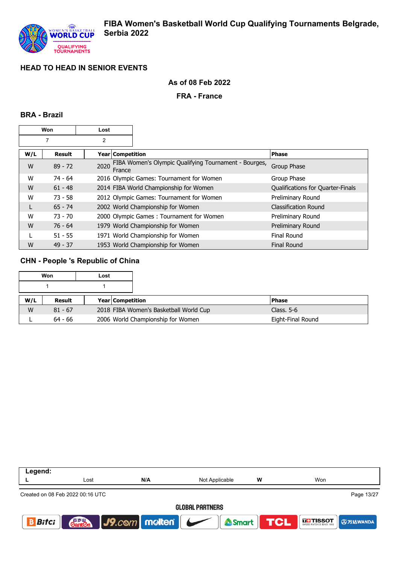## **As of 08 Feb 2022**

#### **FRA - France**

#### **BRA - Brazil**

| Won<br>Lost |           |                |                  |                                                       |                                   |
|-------------|-----------|----------------|------------------|-------------------------------------------------------|-----------------------------------|
|             |           | $\overline{2}$ |                  |                                                       |                                   |
| W/L         | Result    |                | Year Competition |                                                       | <b>Phase</b>                      |
| W           | $89 - 72$ | 2020           | France           | FIBA Women's Olympic Qualifying Tournament - Bourges, | Group Phase                       |
| W           | $74 - 64$ |                |                  | 2016 Olympic Games: Tournament for Women              | Group Phase                       |
| W           | $61 - 48$ |                |                  | 2014 FIBA World Championship for Women                | Qualifications for Quarter-Finals |
| W           | $73 - 58$ |                |                  | 2012 Olympic Games: Tournament for Women              | Preliminary Round                 |
| L           | $65 - 74$ |                |                  | 2002 World Championship for Women                     | <b>Classification Round</b>       |
| W           | $73 - 70$ |                |                  | 2000 Olympic Games: Tournament for Women              | Preliminary Round                 |
| W           | $76 - 64$ |                |                  | 1979 World Championship for Women                     | Preliminary Round                 |
|             | $51 - 55$ |                |                  | 1971 World Championship for Women                     | <b>Final Round</b>                |
| W           | $49 - 37$ |                |                  | 1953 World Championship for Women                     | <b>Final Round</b>                |

## **CHN - People 's Republic of China**

|     | Won       | Lost |                         |                                        |                   |
|-----|-----------|------|-------------------------|----------------------------------------|-------------------|
|     |           |      |                         |                                        |                   |
| W/L | Result    |      | <b>Year Competition</b> |                                        | <b>Phase</b>      |
| W   | $81 - 67$ |      |                         | 2018 FIBA Women's Basketball World Cup | Class. $5-6$      |
|     | $64 - 66$ |      |                         | 2006 World Championship for Women      | Eight-Final Round |

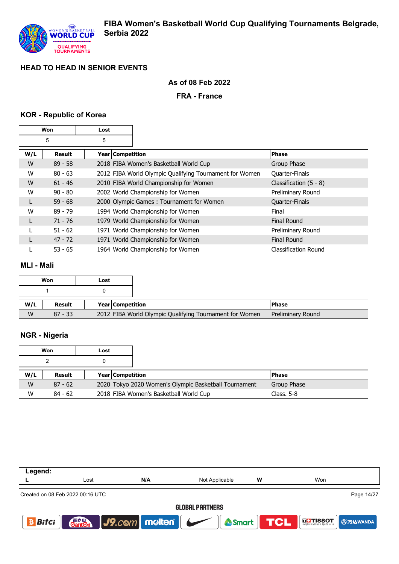

## **As of 08 Feb 2022**

## **FRA - France**

## **KOR - Republic of Korea**

| Won    |           | Lost               |                                                         |                             |
|--------|-----------|--------------------|---------------------------------------------------------|-----------------------------|
| 5<br>5 |           |                    |                                                         |                             |
| W/L    | Result    | Year   Competition |                                                         | <b>Phase</b>                |
| W      | $89 - 58$ |                    | 2018 FIBA Women's Basketball World Cup                  | Group Phase                 |
| W      | $80 - 63$ |                    | 2012 FIBA World Olympic Qualifying Tournament for Women | Quarter-Finals              |
| W      | $61 - 46$ |                    | 2010 FIBA World Championship for Women                  | Classification $(5 - 8)$    |
| W      | $90 - 80$ |                    | 2002 World Championship for Women                       | Preliminary Round           |
| L      | $59 - 68$ |                    | 2000 Olympic Games: Tournament for Women                | Quarter-Finals              |
| W      | $89 - 79$ |                    | 1994 World Championship for Women                       | Final                       |
| L      | $71 - 76$ |                    | 1979 World Championship for Women                       | Final Round                 |
|        | $51 - 62$ |                    | 1971 World Championship for Women                       | Preliminary Round           |
| L      | $47 - 72$ |                    | 1971 World Championship for Women                       | <b>Final Round</b>          |
|        | $53 - 65$ |                    | 1964 World Championship for Women                       | <b>Classification Round</b> |

#### **MLI - Mali**

|     | Won           | Lost |                  |                                                         |                   |
|-----|---------------|------|------------------|---------------------------------------------------------|-------------------|
|     |               |      |                  |                                                         |                   |
| W/L | <b>Result</b> |      | Year Competition |                                                         | <b>Phase</b>      |
| W   | $87 - 33$     |      |                  | 2012 FIBA World Olympic Qualifying Tournament for Women | Preliminary Round |

## **NGR - Nigeria**

|     | Won       | Lost |                         |                                                       |              |
|-----|-----------|------|-------------------------|-------------------------------------------------------|--------------|
|     |           |      |                         |                                                       |              |
| W/L | Result    |      | <b>Year Competition</b> |                                                       | <b>Phase</b> |
| W   | $87 - 62$ |      |                         | 2020 Tokyo 2020 Women's Olympic Basketball Tournament | Group Phase  |
| W   | $84 - 62$ |      |                         | 2018 FIBA Women's Basketball World Cup                | Class. 5-8   |

| Legend:           |                                  |                             |                        |   |                            |
|-------------------|----------------------------------|-----------------------------|------------------------|---|----------------------------|
|                   | Lost                             | N/A                         | Not Applicable         | w | Won                        |
|                   | Created on 08 Feb 2022 00:16 UTC |                             |                        |   | Page 14/27                 |
|                   |                                  |                             | <b>GLOBAL PARTNERS</b> |   |                            |
| <b>Bitci</b><br>B |                                  | <b>Ganten</b> J9.com molten | Smart TCL              |   | <b>SETTISSOT 9 万达WANDA</b> |
|                   |                                  |                             |                        |   |                            |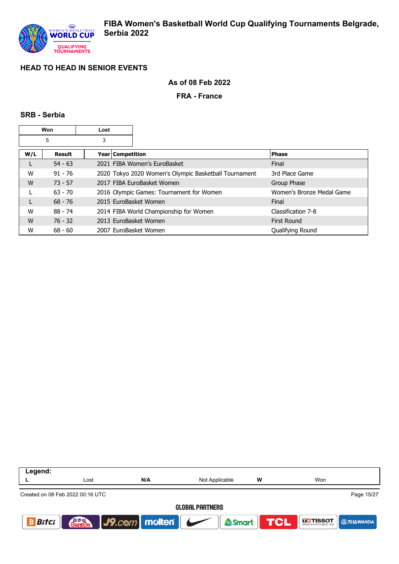## **As of 08 Feb 2022**

#### **FRA - France**

#### **SRB - Serbia**

|     | Won           | Lost                    |                                                       |                           |
|-----|---------------|-------------------------|-------------------------------------------------------|---------------------------|
|     | 5             | 3                       |                                                       |                           |
| W/L | <b>Result</b> | <b>Year Competition</b> |                                                       | <b>Phase</b>              |
|     | $54 - 63$     |                         | 2021 FIBA Women's EuroBasket                          | Final                     |
| W   | $91 - 76$     |                         | 2020 Tokyo 2020 Women's Olympic Basketball Tournament | 3rd Place Game            |
| W   | $73 - 57$     |                         | 2017 FIBA EuroBasket Women                            | Group Phase               |
|     | $63 - 70$     |                         | 2016 Olympic Games: Tournament for Women              | Women's Bronze Medal Game |
|     | $68 - 76$     | 2015 EuroBasket Women   |                                                       | Final                     |
| W   | 88 - 74       |                         | 2014 FIBA World Championship for Women                | Classification 7-8        |
| W   | $76 - 32$     | 2013 EuroBasket Women   |                                                       | <b>First Round</b>        |
| W   | $68 - 60$     | 2007 EuroBasket Women   |                                                       | Qualifying Round          |

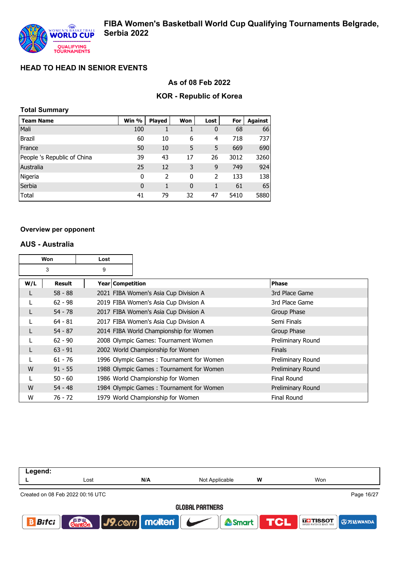### **As of 08 Feb 2022**

### **KOR - Republic of Korea**

|  | <b>Total Summary</b> |
|--|----------------------|
|--|----------------------|

| <b>Team Name</b>            | Win %       | <b>Played</b> | Won          | Lost                     | For  | Against |
|-----------------------------|-------------|---------------|--------------|--------------------------|------|---------|
| Mali                        | 100         |               |              | 0                        | 68   | 66      |
| <b>Brazil</b>               | 60          | 10            | 6            | 4                        | 718  | 737     |
| France                      | 50          | 10            | 5            | 5                        | 669  | 690     |
| People 's Republic of China | 39          | 43            | 17           | 26                       | 3012 | 3260    |
| Australia                   | 25          | 12            | 3            | 9                        | 749  | 924     |
| Nigeria                     | 0           | 2             | 0            | $\overline{\phantom{a}}$ | 133  | 138     |
| Serbia                      | $\mathbf 0$ | 1             | $\mathbf{0}$ |                          | 61   | 65      |
| Total                       | 41          | 79            | 32           | 47                       | 5410 | 5880    |

#### **Overview per opponent**

#### **AUS - Australia**

|     | Won           | Lost               |                                          |                    |
|-----|---------------|--------------------|------------------------------------------|--------------------|
|     | 3             | 9                  |                                          |                    |
| W/L | <b>Result</b> | Year   Competition |                                          | Phase              |
|     | $58 - 88$     |                    | 2021 FIBA Women's Asia Cup Division A    | 3rd Place Game     |
|     | $62 - 98$     |                    | 2019 FIBA Women's Asia Cup Division A    | 3rd Place Game     |
|     | $54 - 78$     |                    | 2017 FIBA Women's Asia Cup Division A    | Group Phase        |
|     | $64 - 81$     |                    | 2017 FIBA Women's Asia Cup Division A    | Semi Finals        |
|     | $54 - 87$     |                    | 2014 FIBA World Championship for Women   | Group Phase        |
|     | $62 - 90$     |                    | 2008 Olympic Games: Tournament Women     | Preliminary Round  |
|     | $63 - 91$     |                    | 2002 World Championship for Women        | <b>Finals</b>      |
|     | $61 - 76$     |                    | 1996 Olympic Games: Tournament for Women | Preliminary Round  |
| W   | $91 - 55$     |                    | 1988 Olympic Games: Tournament for Women | Preliminary Round  |
|     | $50 - 60$     |                    | 1986 World Championship for Women        | <b>Final Round</b> |
| W   | $54 - 48$     |                    | 1984 Olympic Games: Tournament for Women | Preliminary Round  |
| W   | 76 - 72       |                    | 1979 World Championship for Women        | <b>Final Round</b> |

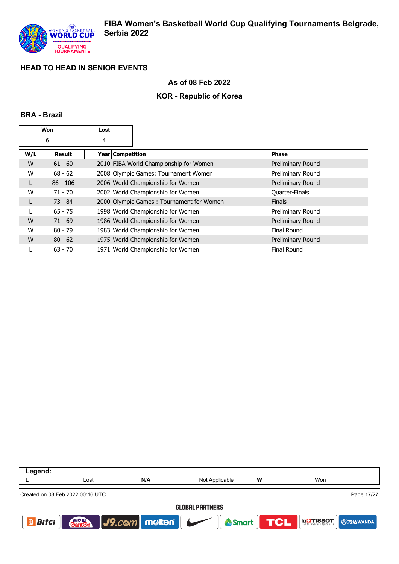

### **As of 08 Feb 2022**

## **KOR - Republic of Korea**

### **BRA - Brazil**

|     | Won        | Lost             |                                          |                    |
|-----|------------|------------------|------------------------------------------|--------------------|
|     | 6          | 4                |                                          |                    |
| W/L | Result     | Year Competition |                                          | <b>Phase</b>       |
| W   | $61 - 60$  |                  | 2010 FIBA World Championship for Women   | Preliminary Round  |
| W   | $68 - 62$  |                  | 2008 Olympic Games: Tournament Women     | Preliminary Round  |
| L   | $86 - 106$ |                  | 2006 World Championship for Women        | Preliminary Round  |
| W   | $71 - 70$  |                  | 2002 World Championship for Women        | Quarter-Finals     |
|     | $73 - 84$  |                  | 2000 Olympic Games: Tournament for Women | <b>Finals</b>      |
|     | $65 - 75$  |                  | 1998 World Championship for Women        | Preliminary Round  |
| W   | $71 - 69$  |                  | 1986 World Championship for Women        | Preliminary Round  |
| W   | $80 - 79$  |                  | 1983 World Championship for Women        | <b>Final Round</b> |
| W   | $80 - 62$  |                  | 1975 World Championship for Women        | Preliminary Round  |
|     | $63 - 70$  |                  | 1971 World Championship for Women        | <b>Final Round</b> |

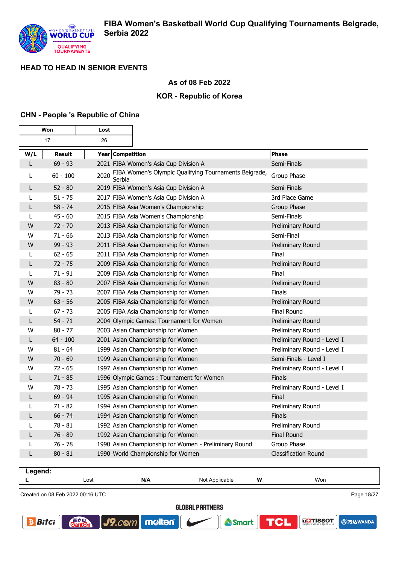

## **As of 08 Feb 2022**

## **KOR - Republic of Korea**

### **CHN - People 's Republic of China**

| Won     |                                  | Lost             |                                                       |                             |
|---------|----------------------------------|------------------|-------------------------------------------------------|-----------------------------|
|         | 17                               | 26               |                                                       |                             |
| W/L     | Result                           | Year Competition |                                                       | Phase                       |
| L       | $69 - 93$                        |                  | 2021 FIBA Women's Asia Cup Division A                 | Semi-Finals                 |
| L       | $60 - 100$                       | 2020<br>Serbia   | FIBA Women's Olympic Qualifying Tournaments Belgrade, | Group Phase                 |
| L       | $52 - 80$                        |                  | 2019 FIBA Women's Asia Cup Division A                 | Semi-Finals                 |
| L       | $51 - 75$                        |                  | 2017 FIBA Women's Asia Cup Division A                 | 3rd Place Game              |
| L       | $58 - 74$                        |                  | 2015 FIBA Asia Women's Championship                   | Group Phase                 |
| L       | $45 - 60$                        |                  | 2015 FIBA Asia Women's Championship                   | Semi-Finals                 |
| W       | $72 - 70$                        |                  | 2013 FIBA Asia Championship for Women                 | Preliminary Round           |
| w       | $71 - 66$                        |                  | 2013 FIBA Asia Championship for Women                 | Semi-Final                  |
| W       | $99 - 93$                        |                  | 2011 FIBA Asia Championship for Women                 | Preliminary Round           |
| L       | $62 - 65$                        |                  | 2011 FIBA Asia Championship for Women                 | Final                       |
| L       | $72 - 75$                        |                  | 2009 FIBA Asia Championship for Women                 | Preliminary Round           |
| L       | $71 - 91$                        |                  | 2009 FIBA Asia Championship for Women                 | Final                       |
| W       | $83 - 80$                        |                  | 2007 FIBA Asia Championship for Women                 | Preliminary Round           |
| w       | 79 - 73                          |                  | 2007 FIBA Asia Championship for Women                 | Finals                      |
| W       | $63 - 56$                        |                  | 2005 FIBA Asia Championship for Women                 | Preliminary Round           |
| L       | $67 - 73$                        |                  | 2005 FIBA Asia Championship for Women                 | Final Round                 |
| L       | $54 - 71$                        |                  | 2004 Olympic Games: Tournament for Women              | Preliminary Round           |
| w       | $80 - 77$                        |                  | 2003 Asian Championship for Women                     | Preliminary Round           |
| L       | $64 - 100$                       |                  | 2001 Asian Championship for Women                     | Preliminary Round - Level I |
| W       | $81 - 64$                        |                  | 1999 Asian Championship for Women                     | Preliminary Round - Level I |
| W       | $70 - 69$                        |                  | 1999 Asian Championship for Women                     | Semi-Finals - Level I       |
| W       | $72 - 65$                        |                  | 1997 Asian Championship for Women                     | Preliminary Round - Level I |
| L       | $71 - 85$                        |                  | 1996 Olympic Games: Tournament for Women              | Finals                      |
| w       | 78 - 73                          |                  | 1995 Asian Championship for Women                     | Preliminary Round - Level I |
| L       | $69 - 94$                        |                  | 1995 Asian Championship for Women                     | Final                       |
| L       | $71 - 82$                        |                  | 1994 Asian Championship for Women                     | Preliminary Round           |
| L       | $66 - 74$                        |                  | 1994 Asian Championship for Women                     | Finals                      |
| L       | $78 - 81$                        |                  | 1992 Asian Championship for Women                     | Preliminary Round           |
|         | $76 - 89$                        |                  | 1992 Asian Championship for Women                     | Final Round                 |
|         | $76 - 78$                        |                  | 1990 Asian Championship for Women - Preliminary Round | Group Phase                 |
| L       | $80 - 81$                        |                  | 1990 World Championship for Women                     | Classification Round        |
|         |                                  |                  |                                                       |                             |
| Legend: |                                  |                  |                                                       |                             |
| L       |                                  | Lost<br>N/A      | Not Applicable                                        | W<br>Won                    |
|         | Created on 08 Feb 2022 00:16 UTC |                  |                                                       | Page 18/27                  |

Created on 08 Feb 2022 00:16 UTC

**Cant2** 

**GLOBAL PARTNERS** 

Smart

molten®

 $J9$ . $com$ 

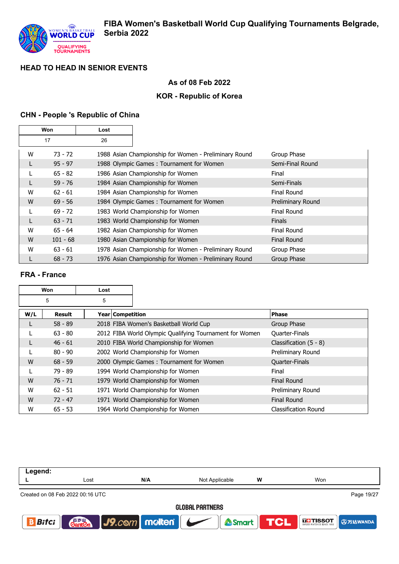

## **As of 08 Feb 2022**

## **KOR - Republic of Korea**

## **CHN - People 's Republic of China**

|   | Won        | Lost |                                                       |                    |
|---|------------|------|-------------------------------------------------------|--------------------|
|   | 17         | 26   |                                                       |                    |
| W | $73 - 72$  |      | 1988 Asian Championship for Women - Preliminary Round | Group Phase        |
| L | $95 - 97$  |      | 1988 Olympic Games: Tournament for Women              | Semi-Final Round   |
|   | $65 - 82$  |      | 1986 Asian Championship for Women                     | Final              |
|   | $59 - 76$  |      | 1984 Asian Championship for Women                     | Semi-Finals        |
| W | $62 - 61$  |      | 1984 Asian Championship for Women                     | Final Round        |
| W | $69 - 56$  |      | 1984 Olympic Games: Tournament for Women              | Preliminary Round  |
| L | $69 - 72$  |      | 1983 World Championship for Women                     | <b>Final Round</b> |
| L | $63 - 71$  |      | 1983 World Championship for Women                     | <b>Finals</b>      |
| W | $65 - 64$  |      | 1982 Asian Championship for Women                     | Final Round        |
| W | $101 - 68$ |      | 1980 Asian Championship for Women                     | <b>Final Round</b> |
| W | $63 - 61$  |      | 1978 Asian Championship for Women - Preliminary Round | Group Phase        |
|   | $68 - 73$  |      | 1976 Asian Championship for Women - Preliminary Round | Group Phase        |

## **FRA - France**

|     | Won<br>Lost |                  |                                                         |                          |
|-----|-------------|------------------|---------------------------------------------------------|--------------------------|
|     | 5           | 5                |                                                         |                          |
| W/L | Result      | Year Competition |                                                         | <b>Phase</b>             |
|     | $58 - 89$   |                  | 2018 FIBA Women's Basketball World Cup                  | Group Phase              |
|     | $63 - 80$   |                  | 2012 FIBA World Olympic Qualifying Tournament for Women | Quarter-Finals           |
|     | $46 - 61$   |                  | 2010 FIBA World Championship for Women                  | Classification $(5 - 8)$ |
|     | $80 - 90$   |                  | 2002 World Championship for Women                       | Preliminary Round        |
| W   | $68 - 59$   |                  | 2000 Olympic Games: Tournament for Women                | Quarter-Finals           |
|     | 79 - 89     |                  | 1994 World Championship for Women                       | Final                    |
| W   | $76 - 71$   |                  | 1979 World Championship for Women                       | <b>Final Round</b>       |
| W   | $62 - 51$   |                  | 1971 World Championship for Women                       | Preliminary Round        |
| W   | $72 - 47$   |                  | 1971 World Championship for Women                       | <b>Final Round</b>       |
| W   | $65 - 53$   |                  | 1964 World Championship for Women                       | Classification Round     |

| Legend:      |                                  |                             |                        |   |                                                                    |
|--------------|----------------------------------|-----------------------------|------------------------|---|--------------------------------------------------------------------|
|              | Lost                             | N/A                         | Not Applicable         | W | Won                                                                |
|              | Created on 08 Feb 2022 00:16 UTC |                             |                        |   | Page 19/27                                                         |
|              |                                  |                             | <b>GLOBAL PARTNERS</b> |   |                                                                    |
| <b>Bitci</b> |                                  | <b>Ganten</b> J9.com molten |                        |   | Smart <b>TCL</b> FITISSOT <b>TAN A SMARTING TO A SMARTING TO A</b> |
|              |                                  |                             |                        |   |                                                                    |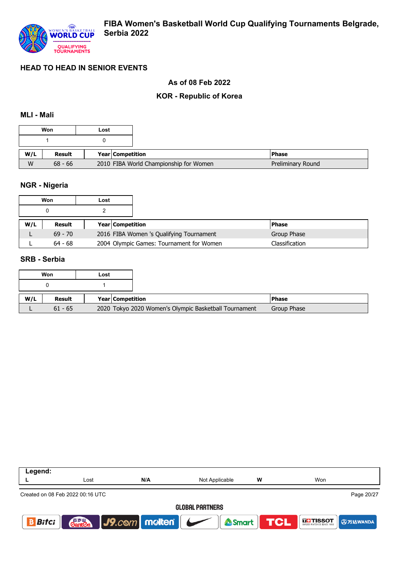

### **As of 08 Feb 2022**

## **KOR - Republic of Korea**

#### **MLI - Mali**

|     | Won       | Lost |                                        |  |
|-----|-----------|------|----------------------------------------|--|
|     |           |      |                                        |  |
| W/L | Result    |      | <b>Year Competition</b>                |  |
| W   | $68 - 66$ |      | 2010 FIBA World Championship for Women |  |

### **NGR - Nigeria**

|     | Won       | Lost |                                          |                |
|-----|-----------|------|------------------------------------------|----------------|
|     |           |      |                                          |                |
| W/L | Result    |      | <b>Year Competition</b>                  | <b>Phase</b>   |
|     | $69 - 70$ |      | 2016 FIBA Women 's Qualifying Tournament | Group Phase    |
|     | $64 - 68$ |      | 2004 Olympic Games: Tournament for Women | Classification |

#### **SRB - Serbia**

|     | Won           | Lost                                                  |  |
|-----|---------------|-------------------------------------------------------|--|
|     |               |                                                       |  |
|     |               |                                                       |  |
| W/L | <b>Result</b> | <b>Year Competition</b>                               |  |
|     | $61 - 65$     | 2020 Tokyo 2020 Women's Olympic Basketball Tournament |  |

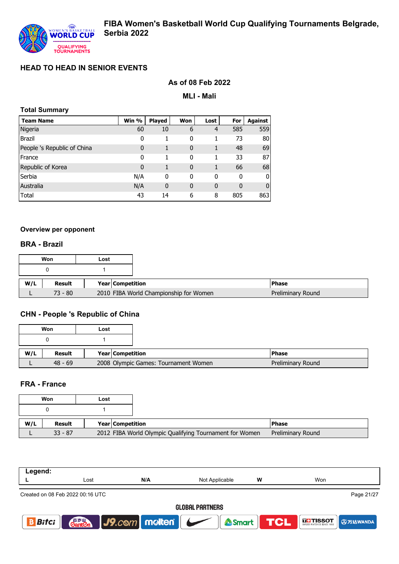

## **As of 08 Feb 2022**

**MLI - Mali**

| <b>Total Summary</b>        |       |               |              |              |             |                |  |  |  |
|-----------------------------|-------|---------------|--------------|--------------|-------------|----------------|--|--|--|
| <b>Team Name</b>            | Win % | <b>Played</b> | Won          | Lost         | For         | <b>Against</b> |  |  |  |
| Nigeria                     | 60    | 10            | 6            | 4            | 585         | 559            |  |  |  |
| <b>Brazil</b>               | 0     | 1             | 0            |              | 73          | 80             |  |  |  |
| People 's Republic of China | 0     | 1             | 0            |              | 48          | 69             |  |  |  |
| France                      | 0     |               | 0            | 1            | 33          | 87             |  |  |  |
| Republic of Korea           | 0     | 1             | $\mathbf{0}$ |              | 66          | 68             |  |  |  |
| Serbia                      | N/A   | 0             | 0            | 0            | 0           | O              |  |  |  |
| Australia                   | N/A   | 0             | $\mathbf{0}$ | $\mathbf{0}$ | $\mathbf 0$ | 0              |  |  |  |
| Total                       | 43    | 14            | 6            | 8            | 805         | 863            |  |  |  |

#### **Overview per opponent**

#### **BRA - Brazil**

|     | Won           | Lost |                                        |
|-----|---------------|------|----------------------------------------|
|     |               |      |                                        |
| W/L | <b>Result</b> |      | Year Competition                       |
|     | $73 - 80$     |      | 2010 FIBA World Championship for Women |

# **CHN - People 's Republic of China**

|     | Won       | Lost |                         |                                      |
|-----|-----------|------|-------------------------|--------------------------------------|
|     |           |      |                         |                                      |
|     |           |      |                         |                                      |
| W/L | Result    |      | <b>Year Competition</b> |                                      |
|     | $48 - 69$ |      |                         | 2008 Olympic Games: Tournament Women |

#### **FRA - France**

|     | Won       | Lost |                         |                                                         |                   |
|-----|-----------|------|-------------------------|---------------------------------------------------------|-------------------|
|     |           |      |                         |                                                         |                   |
| W/L | Result    |      | <b>Year Competition</b> |                                                         | <b>IPhase</b>     |
|     | $33 - 87$ |      |                         | 2012 FIBA World Olympic Qualifying Tournament for Women | Preliminary Round |

| Legend:                |                                  |                     |                  |   |                             |  |  |
|------------------------|----------------------------------|---------------------|------------------|---|-----------------------------|--|--|
|                        | Lost                             | N/A                 | Not Applicable   | W | Won                         |  |  |
|                        | Created on 08 Feb 2022 00:16 UTC |                     |                  |   | Page 21/27                  |  |  |
| <b>GLOBAL PARTNERS</b> |                                  |                     |                  |   |                             |  |  |
| <b>Bitci</b>           | <b>Ganten</b>                    | $J9$ . $com$ molten | <b>Smart TCL</b> |   | <b>THE TISSOT 9 万达WANDA</b> |  |  |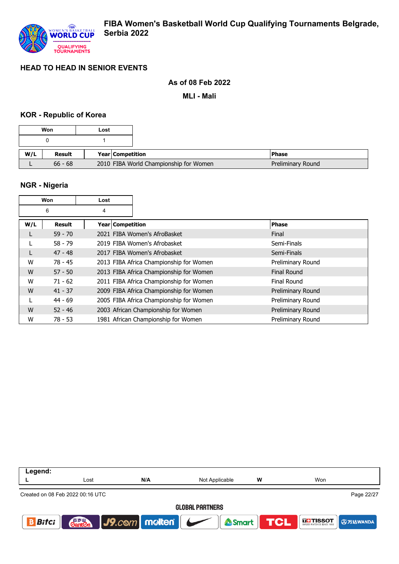

### **As of 08 Feb 2022**

**MLI - Mali**

### **KOR - Republic of Korea**

|     | Won       | Lost |                                        |                   |
|-----|-----------|------|----------------------------------------|-------------------|
|     |           |      |                                        |                   |
| W/L | Result    |      | Year Competition                       | <b>Phase</b>      |
|     | $66 - 68$ |      | 2010 FIBA World Championship for Women | Preliminary Round |

## **NGR - Nigeria**

| Won<br>Lost |           |                    |                                         |                    |
|-------------|-----------|--------------------|-----------------------------------------|--------------------|
|             | 6<br>4    |                    |                                         |                    |
| W/L         | Result    | Year   Competition |                                         | <b>Phase</b>       |
|             | $59 - 70$ |                    | 2021 FIBA Women's AfroBasket            | Final              |
|             | $58 - 79$ |                    | 2019 FIBA Women's Afrobasket            | Semi-Finals        |
|             | $47 - 48$ |                    | 2017 FIBA Women's Afrobasket            | Semi-Finals        |
| W           | $78 - 45$ |                    | 2013 FIBA Africa Championship for Women | Preliminary Round  |
| W           | $57 - 50$ |                    | 2013 FIBA Africa Championship for Women | <b>Final Round</b> |
| W           | $71 - 62$ |                    | 2011 FIBA Africa Championship for Women | Final Round        |
| W           | $41 - 37$ |                    | 2009 FIBA Africa Championship for Women | Preliminary Round  |
|             | $44 - 69$ |                    | 2005 FIBA Africa Championship for Women | Preliminary Round  |
| W           | $52 - 46$ |                    | 2003 African Championship for Women     | Preliminary Round  |
| W           | $78 - 53$ |                    | 1981 African Championship for Women     | Preliminary Round  |

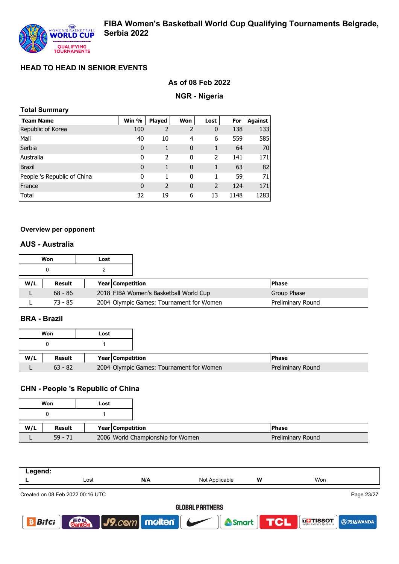

## **As of 08 Feb 2022**

#### **NGR - Nigeria**

| <b>Total Summary</b> |  |
|----------------------|--|
|----------------------|--|

| <b>Team Name</b>            | Win %        | <b>Played</b>  | Won            | Lost                     | For  | <b>Against</b> |
|-----------------------------|--------------|----------------|----------------|--------------------------|------|----------------|
| Republic of Korea           | 100          | $\overline{2}$ | $\overline{2}$ | $\mathbf{0}$             | 138  | 133            |
| Mali                        | 40           | 10             | 4              | 6                        | 559  | 585            |
| Serbia                      | $\mathbf{0}$ |                | $\mathbf 0$    |                          | 64   | 70             |
| Australia                   | 0            | 2              | 0              | $\mathcal{P}$            | 141  | 171            |
| <b>Brazil</b>               | $\mathbf{0}$ | 1              | $\mathbf{0}$   |                          | 63   | 82             |
| People 's Republic of China | 0            | 1              | 0              |                          | 59   | 71             |
| France                      | $\mathbf{0}$ | $\overline{2}$ | $\mathbf{0}$   | $\overline{\phantom{0}}$ | 124  | 171            |
| Total                       | 32           | 19             | 6              | 13                       | 1148 | 1283           |

#### **Overview per opponent**

## **AUS - Australia**

|     | Won       | Lost                    |                                          |  |                   |
|-----|-----------|-------------------------|------------------------------------------|--|-------------------|
|     |           |                         |                                          |  |                   |
| W/L | Result    | <b>Year Competition</b> |                                          |  | <b>Phase</b>      |
|     | $68 - 86$ |                         | 2018 FIBA Women's Basketball World Cup   |  | Group Phase       |
|     | $73 - 85$ |                         | 2004 Olympic Games: Tournament for Women |  | Preliminary Round |

## **BRA - Brazil**

|     | Won       | Lost |                  |                                          |                   |
|-----|-----------|------|------------------|------------------------------------------|-------------------|
|     |           |      |                  |                                          |                   |
| W/L | Result    |      | Year Competition |                                          | <b>Phase</b>      |
|     | $63 - 82$ |      |                  | 2004 Olympic Games: Tournament for Women | Preliminary Round |

# **CHN - People 's Republic of China**

|     | Won       | Lost             |                                   |  |
|-----|-----------|------------------|-----------------------------------|--|
|     |           |                  |                                   |  |
| W/L | Result    | Year Competition |                                   |  |
|     | $59 - 71$ |                  | 2006 World Championship for Women |  |

| Legend:      |                                  |               |                        |            |                                           |
|--------------|----------------------------------|---------------|------------------------|------------|-------------------------------------------|
|              | Lost                             | N/A           | Not Applicable         | w          | Won                                       |
|              | Created on 08 Feb 2022 00:16 UTC |               |                        |            | Page 23/27                                |
|              |                                  |               | <b>GLOBAL PARTNERS</b> |            |                                           |
| <b>Bitci</b> | <b>Gant</b> en                   | J9.com molten | Smart                  | <b>TCL</b> | <b>GETISSOT</b><br>WISS WATCHES SINCE 195 |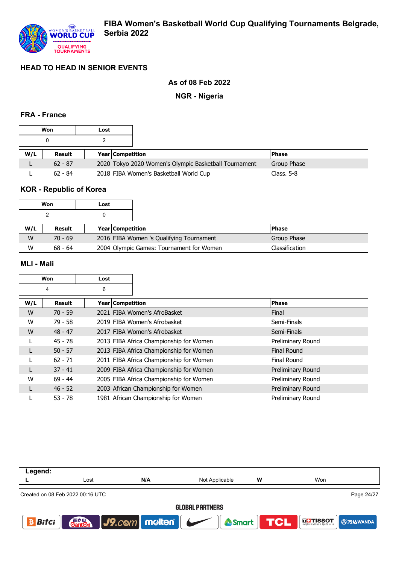### **As of 08 Feb 2022**

**NGR - Nigeria**

### **FRA - France**

|     | Won       | Lost |                         |                                                       |               |
|-----|-----------|------|-------------------------|-------------------------------------------------------|---------------|
|     |           |      |                         |                                                       |               |
| W/L | Result    |      | <b>Year Competition</b> |                                                       | <b>IPhase</b> |
|     | $62 - 87$ |      |                         | 2020 Tokyo 2020 Women's Olympic Basketball Tournament | Group Phase   |
|     | $62 - 84$ |      |                         | 2018 FIBA Women's Basketball World Cup                | Class. $5-8$  |

# **KOR - Republic of Korea**

|     | Won       | Lost |                         |                                          |                |
|-----|-----------|------|-------------------------|------------------------------------------|----------------|
|     |           |      |                         |                                          |                |
| W/L | Result    |      | <b>Year Competition</b> |                                          | <b>Phase</b>   |
| W   | $70 - 69$ |      |                         | 2016 FIBA Women 's Qualifying Tournament | Group Phase    |
| W   | $68 - 64$ |      |                         | 2004 Olympic Games: Tournament for Women | Classification |

### **MLI - Mali**

|     | Won       | Lost               |                                         |                   |
|-----|-----------|--------------------|-----------------------------------------|-------------------|
|     | 4         | 6                  |                                         |                   |
| W/L | Result    | Year   Competition |                                         | <b>Phase</b>      |
| W   | $70 - 59$ |                    | 2021 FIBA Women's AfroBasket            | Final             |
| W   | $79 - 58$ |                    | 2019 FIBA Women's Afrobasket            | Semi-Finals       |
| W   | $48 - 47$ |                    | 2017 FIBA Women's Afrobasket            | Semi-Finals       |
|     | $45 - 78$ |                    | 2013 FIBA Africa Championship for Women | Preliminary Round |
|     | $50 - 57$ |                    | 2013 FIBA Africa Championship for Women | Final Round       |
|     | $62 - 71$ |                    | 2011 FIBA Africa Championship for Women | Final Round       |
|     | $37 - 41$ |                    | 2009 FIBA Africa Championship for Women | Preliminary Round |
| W   | $69 - 44$ |                    | 2005 FIBA Africa Championship for Women | Preliminary Round |
|     | $46 - 52$ |                    | 2003 African Championship for Women     | Preliminary Round |
|     | $53 - 78$ |                    | 1981 African Championship for Women     | Preliminary Round |

| Legend:      |                                  |               |                        |   |                             |
|--------------|----------------------------------|---------------|------------------------|---|-----------------------------|
|              | Lost                             | N/A           | Not Applicable         | w | Won                         |
|              | Created on 08 Feb 2022 00:16 UTC |               |                        |   | Page 24/27                  |
|              |                                  |               | <b>GLOBAL PARTNERS</b> |   |                             |
| <b>Bitci</b> | 音罗皿<br><b>Ganten</b>             | J9.com molten | Smart TCL              |   | <b>THE TISSOT ① 万达WANDA</b> |
|              |                                  |               |                        |   |                             |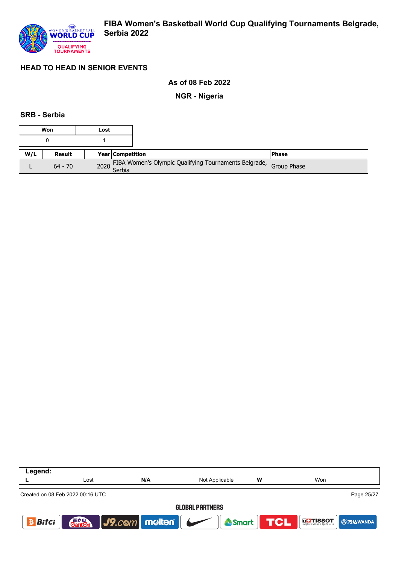

### **As of 08 Feb 2022**

**NGR - Nigeria**

### **SRB - Serbia**

|     | Won           | Lost |                         |                                                                        |               |
|-----|---------------|------|-------------------------|------------------------------------------------------------------------|---------------|
|     |               |      |                         |                                                                        |               |
| W/L | <b>Result</b> |      | <b>Year Competition</b> |                                                                        | <b>IPhase</b> |
|     | $64 - 70$     |      |                         | 2020 FIBA Women's Olympic Qualifying Tournaments Belgrade, Group Phase |               |

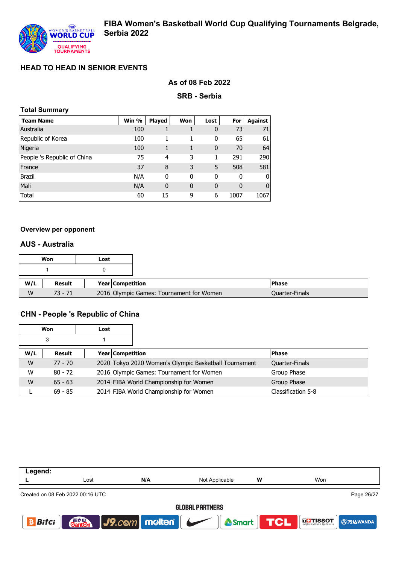### **As of 08 Feb 2022**

**SRB - Serbia**

| <b>Total Summary</b>        |       |                |              |      |      |                |
|-----------------------------|-------|----------------|--------------|------|------|----------------|
| <b>Team Name</b>            | Win % | <b>Played</b>  | Won          | Lost | For  | <b>Against</b> |
| Australia                   | 100   |                |              | 0    | 73   | 71             |
| Republic of Korea           | 100   | 1              | 1            | 0    | 65   | 61             |
| Nigeria                     | 100   | 1              |              | 0    | 70   | 64             |
| People 's Republic of China | 75    | $\overline{a}$ | 3            |      | 291  | 290            |
| France                      | 37    | 8              | 3            | 5    | 508  | 581            |
| <b>Brazil</b>               | N/A   | 0              | 0            | 0    | 0    | O              |
| Mali                        | N/A   | $\bf{0}$       | $\mathbf{0}$ | 0    | 0    | 0              |
| Total                       | 60    | 15             | 9            | 6    | 1007 | 1067           |

#### **Overview per opponent**

#### **AUS - Australia**

|     | Won       | Lost |                                          |                       |
|-----|-----------|------|------------------------------------------|-----------------------|
|     |           |      |                                          |                       |
| W/L | Result    |      | Year Competition                         | <b>Phase</b>          |
| W   | $73 - 71$ |      | 2016 Olympic Games: Tournament for Women | <b>Quarter-Finals</b> |

### **CHN - People 's Republic of China**

|     | Won       | Lost             |                                                       |                    |
|-----|-----------|------------------|-------------------------------------------------------|--------------------|
|     | 3         |                  |                                                       |                    |
| W/L | Result    | Year Competition |                                                       | <b>Phase</b>       |
| W   | $77 - 70$ |                  | 2020 Tokyo 2020 Women's Olympic Basketball Tournament | Quarter-Finals     |
| W   | $80 - 72$ |                  | 2016 Olympic Games: Tournament for Women              | Group Phase        |
| W   | $65 - 63$ |                  | 2014 FIBA World Championship for Women                | Group Phase        |
|     | $69 - 85$ |                  | 2014 FIBA World Championship for Women                | Classification 5-8 |